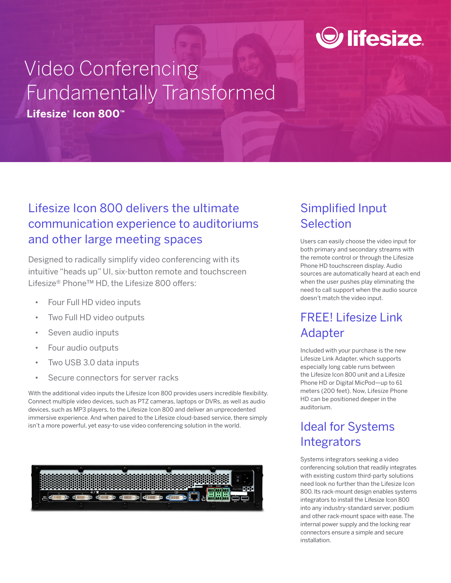# $\odot$  lifesize.

## Video Conferencing Fundamentally Transformed **Lifesize® Icon 800™**

### Lifesize Icon 800 delivers the ultimate communication experience to auditoriums and other large meeting spaces

Designed to radically simplify video conferencing with its intuitive "heads up" UI, six-button remote and touchscreen Lifesize® Phone™ HD, the Lifesize 800 offers:

- Four Full HD video inputs
- Two Full HD video outputs
- Seven audio inputs
- Four audio outputs
- Two USB 3.0 data inputs
- Secure connectors for server racks

With the additional video inputs the Lifesize Icon 800 provides users incredible flexibility. Connect multiple video devices, such as PTZ cameras, laptops or DVRs, as well as audio devices, such as MP3 players, to the Lifesize Icon 800 and deliver an unprecedented immersive experience. And when paired to the Lifesize cloud-based service, there simply isn't a more powerful, yet easy-to-use video conferencing solution in the world.



## Simplified Input Selection

Users can easily choose the video input for both primary and secondary streams with the remote control or through the Lifesize Phone HD touchscreen display. Audio sources are automatically heard at each end when the user pushes play eliminating the need to call support when the audio source doesn't match the video input.

### FREE! Lifesize Link Adapter

Included with your purchase is the new Lifesize Link Adapter, which supports especially long cable runs between the Lifesize Icon 800 unit and a Lifesize Phone HD or Digital MicPod—up to 61 meters (200 feet). Now, Lifesize Phone HD can be positioned deeper in the auditorium.

## Ideal for Systems **Integrators**

Systems integrators seeking a video conferencing solution that readily integrates with existing custom third-party solutions need look no further than the Lifesize Icon 800. Its rack-mount design enables systems integrators to install the Lifesize Icon 800 into any industry-standard server, podium and other rack-mount space with ease. The internal power supply and the locking rear connectors ensure a simple and secure installation.